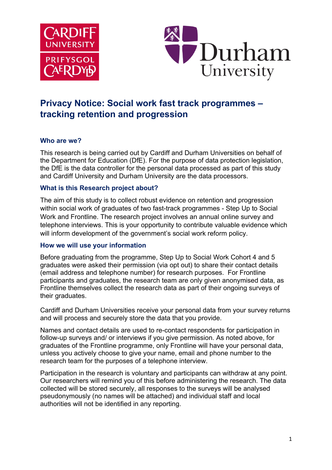



# **Privacy Notice: Social work fast track programmes – tracking retention and progression**

## **Who are we?**

This research is being carried out by Cardiff and Durham Universities on behalf of the Department for Education (DfE). For the purpose of data protection legislation, the DfE is the data controller for the personal data processed as part of this study and Cardiff University and Durham University are the data processors.

## **What is this Research project about?**

The aim of this study is to collect robust evidence on retention and progression within social work of graduates of two fast-track programmes - Step Up to Social Work and Frontline. The research project involves an annual online survey and telephone interviews. This is your opportunity to contribute valuable evidence which will inform development of the government's social work reform policy.

## **How we will use your information**

Before graduating from the programme, Step Up to Social Work Cohort 4 and 5 graduates were asked their permission (via opt out) to share their contact details (email address and telephone number) for research purposes. For Frontline participants and graduates, the research team are only given anonymised data, as Frontline themselves collect the research data as part of their ongoing surveys of their graduates.

Cardiff and Durham Universities receive your personal data from your survey returns and will process and securely store the data that you provide.

Names and contact details are used to re-contact respondents for participation in follow-up surveys and/ or interviews if you give permission. As noted above, for graduates of the Frontline programme, only Frontline will have your personal data, unless you actively choose to give your name, email and phone number to the research team for the purposes of a telephone interview.

Participation in the research is voluntary and participants can withdraw at any point. Our researchers will remind you of this before administering the research. The data collected will be stored securely, all responses to the surveys will be analysed pseudonymously (no names will be attached) and individual staff and local authorities will not be identified in any reporting.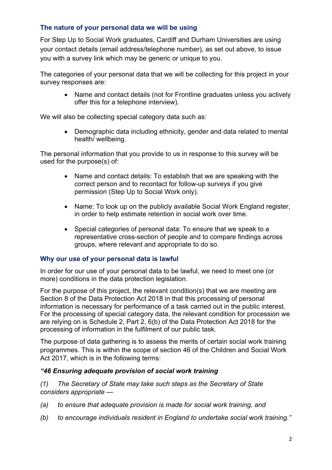# **The nature of your personal data we will be using**

For Step Up to Social Work graduates, Cardiff and Durham Universities are using your contact details (email address/telephone number), as set out above, to issue you with a survey link which may be generic or unique to you.

The categories of your personal data that we will be collecting for this project in your survey responses are:

• Name and contact details (not for Frontline graduates unless you actively offer this for a telephone interview).

We will also be collecting special category data such as:

• Demographic data including ethnicity, gender and data related to mental health/ wellbeing.

The personal information that you provide to us in response to this survey will be used for the purpose(s) of:

- Name and contact details: To establish that we are speaking with the correct person and to recontact for follow-up surveys if you give permission (Step Up to Social Work only).
- Name: To look up on the publicly available Social Work England register, in order to help estimate retention in social work over time.
- Special categories of personal data: To ensure that we speak to a representative cross-section of people and to compare findings across groups, where relevant and appropriate to do so.

## **Why our use of your personal data is lawful**

In order for our use of your personal data to be lawful, we need to meet one (or more) conditions in the data protection legislation.

For the purpose of this project, the relevant condition(s) that we are meeting are Section 8 of the Data Protection Act 2018 in that this processing of personal information is necessary for performance of a task carried out in the public interest. For the processing of special category data, the relevant condition for procession we are relying on is Schedule 2, Part 2, 6(b) of the Data Protection Act 2018 for the processing of information in the fulfilment of our public task.

The purpose of data gathering is to assess the merits of certain social work training programmes. This is within the scope of section 46 of the Children and Social Work Act 2017, which is in the following terms:

## *"46 Ensuring adequate provision of social work training*

*(1) The Secretary of State may take such steps as the Secretary of State considers appropriate —*

- *(a) to ensure that adequate provision is made for social work training, and*
- *(b) to encourage individuals resident in England to undertake social work training."*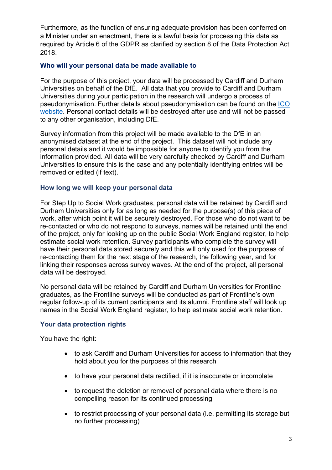Furthermore, as the function of ensuring adequate provision has been conferred on a Minister under an enactment, there is a lawful basis for processing this data as required by Article 6 of the GDPR as clarified by section 8 of the Data Protection Act 2018.

## **Who will your personal data be made available to**

For the purpose of this project, your data will be processed by Cardiff and Durham Universities on behalf of the DfE. All data that you provide to Cardiff and Durham Universities during your participation in the research will undergo a process of pseudonymisation. Further details about pseudonymisation can be found on the ICO website. Personal contact details will be destroyed after use and will not be passed to any other organisation, including DfE.

Survey information from this project will be made available to the DfE in an anonymised dataset at the end of the project. This dataset will not include any personal details and it would be impossible for anyone to identify you from the information provided. All data will be very carefully checked by Cardiff and Durham Universities to ensure this is the case and any potentially identifying entries will be removed or edited (if text).

## **How long we will keep your personal data**

For Step Up to Social Work graduates, personal data will be retained by Cardiff and Durham Universities only for as long as needed for the purpose(s) of this piece of work, after which point it will be securely destroyed. For those who do not want to be re-contacted or who do not respond to surveys, names will be retained until the end of the project, only for looking up on the public Social Work England register, to help estimate social work retention. Survey participants who complete the survey will have their personal data stored securely and this will only used for the purposes of re-contacting them for the next stage of the research, the following year, and for linking their responses across survey waves. At the end of the project, all personal data will be destroyed.

No personal data will be retained by Cardiff and Durham Universities for Frontline graduates, as the Frontline surveys will be conducted as part of Frontline's own regular follow-up of its current participants and its alumni. Frontline staff will look up names in the Social Work England register, to help estimate social work retention.

## **Your data protection rights**

You have the right:

- to ask Cardiff and Durham Universities for access to information that they hold about you for the purposes of this research
- to have your personal data rectified, if it is inaccurate or incomplete
- to request the deletion or removal of personal data where there is no compelling reason for its continued processing
- to restrict processing of your personal data (i.e. permitting its storage but no further processing)